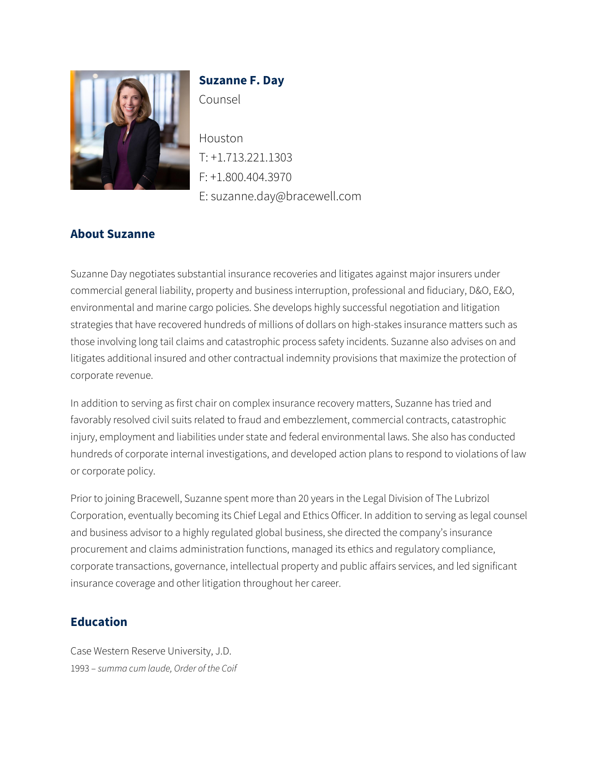

# **Suzanne F. Day** Counsel

Houston T: +1.713.221.1303 F: +1.800.404.3970 E: suzanne.day@bracewell.com

## **About Suzanne**

Suzanne Day negotiates substantial insurance recoveries and litigates against major insurers under commercial general liability, property and business interruption, professional and fiduciary, D&O, E&O, environmental and marine cargo policies. She develops highly successful negotiation and litigation strategies that have recovered hundreds of millions of dollars on high-stakes insurance matters such as those involving long tail claims and catastrophic process safety incidents. Suzanne also advises on and litigates additional insured and other contractual indemnity provisions that maximize the protection of corporate revenue.

In addition to serving as first chair on complex insurance recovery matters, Suzanne has tried and favorably resolved civil suits related to fraud and embezzlement, commercial contracts, catastrophic injury, employment and liabilities under state and federal environmental laws. She also has conducted hundreds of corporate internal investigations, and developed action plans to respond to violations of law or corporate policy.

Prior to joining Bracewell, Suzanne spent more than 20 years in the Legal Division of The Lubrizol Corporation, eventually becoming its Chief Legal and Ethics Officer. In addition to serving as legal counsel and business advisor to a highly regulated global business, she directed the company's insurance procurement and claims administration functions, managed its ethics and regulatory compliance, corporate transactions, governance, intellectual property and public affairs services, and led significant insurance coverage and other litigation throughout her career.

#### **Education**

Case Western Reserve University, J.D. 1993 – *summa cum laude, Order of the Coif*